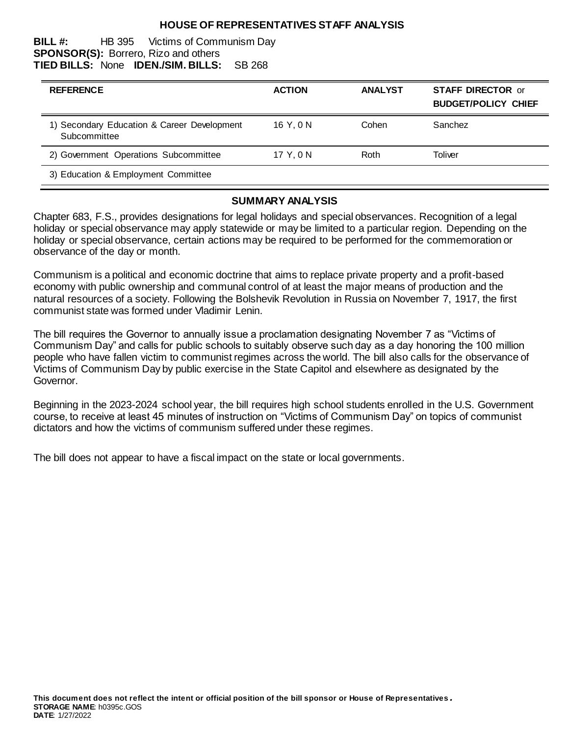#### **HOUSE OF REPRESENTATIVES STAFF ANALYSIS**

#### **BILL #:** HB 395 Victims of Communism Day **SPONSOR(S):** Borrero, Rizo and others **TIED BILLS:** None **IDEN./SIM. BILLS:** SB 268

| <b>REFERENCE</b>                                            | <b>ACTION</b> | <b>ANALYST</b> | <b>STAFF DIRECTOR or</b><br><b>BUDGET/POLICY CHIEF</b> |
|-------------------------------------------------------------|---------------|----------------|--------------------------------------------------------|
| 1) Secondary Education & Career Development<br>Subcommittee | 16 Y.ON       | Cohen          | Sanchez                                                |
| 2) Government Operations Subcommittee                       | 17 Y.ON       | Roth           | Toliver                                                |
| 3) Education & Employment Committee                         |               |                |                                                        |

#### **SUMMARY ANALYSIS**

Chapter 683, F.S., provides designations for legal holidays and special observances. Recognition of a legal holiday or special observance may apply statewide or may be limited to a particular region. Depending on the holiday or special observance, certain actions may be required to be performed for the commemoration or observance of the day or month.

Communism is a political and economic doctrine that aims to replace private property and a profit-based economy with public ownership and communal control of at least the major means of production and the natural resources of a society. Following the Bolshevik Revolution in Russia on November 7, 1917, the first communist state was formed under Vladimir Lenin.

The bill requires the Governor to annually issue a proclamation designating November 7 as "Victims of Communism Day" and calls for public schools to suitably observe such day as a day honoring the 100 million people who have fallen victim to communist regimes across the world. The bill also calls for the observance of Victims of Communism Day by public exercise in the State Capitol and elsewhere as designated by the Governor.

Beginning in the 2023-2024 school year, the bill requires high school students enrolled in the U.S. Government course, to receive at least 45 minutes of instruction on "Victims of Communism Day" on topics of communist dictators and how the victims of communism suffered under these regimes.

The bill does not appear to have a fiscal impact on the state or local governments.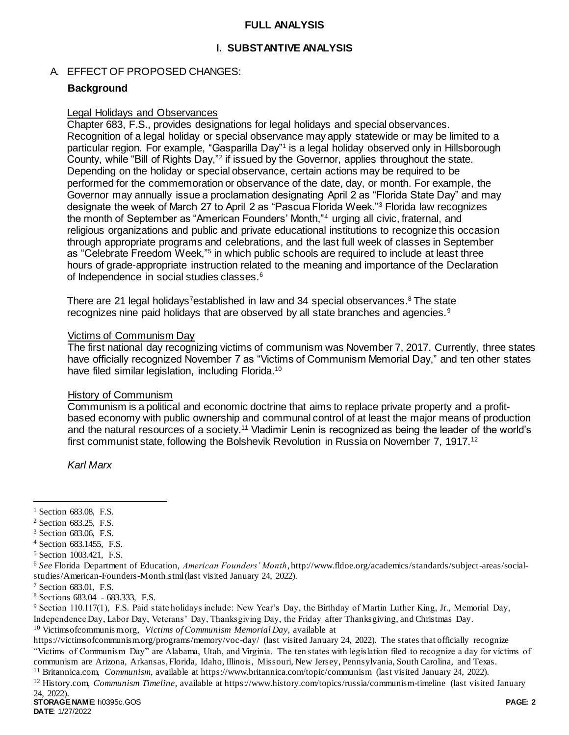#### **FULL ANALYSIS**

## **I. SUBSTANTIVE ANALYSIS**

## A. EFFECT OF PROPOSED CHANGES:

#### **Background**

#### Legal Holidays and Observances

Chapter 683, F.S., provides designations for legal holidays and special observances. Recognition of a legal holiday or special observance may apply statewide or may be limited to a particular region. For example, "Gasparilla Day"<sup>1</sup> is a legal holiday observed only in Hillsborough County, while "Bill of Rights Day,"<sup>2</sup> if issued by the Governor, applies throughout the state. Depending on the holiday or special observance, certain actions may be required to be performed for the commemoration or observance of the date, day, or month. For example, the Governor may annually issue a proclamation designating April 2 as "Florida State Day" and may designate the week of March 27 to April 2 as "Pascua Florida Week."<sup>3</sup> Florida law recognizes the month of September as "American Founders' Month,"<sup>4</sup> urging all civic, fraternal, and religious organizations and public and private educational institutions to recognize this occasion through appropriate programs and celebrations, and the last full week of classes in September as "Celebrate Freedom Week,"<sup>5</sup> in which public schools are required to include at least three hours of grade-appropriate instruction related to the meaning and importance of the Declaration of Independence in social studies classes.<sup>6</sup>

There are 21 legal holidays<sup>7</sup>established in law and 34 special observances.<sup>8</sup> The state recognizes nine paid holidays that are observed by all state branches and agencies.<sup>9</sup>

#### Victims of Communism Day

The first national day recognizing victims of communism was November 7, 2017. Currently, three states have officially recognized November 7 as "Victims of Communism Memorial Day," and ten other states have filed similar legislation, including Florida.<sup>10</sup>

#### History of Communism

Communism is a political and economic doctrine that aims to replace private property and a profitbased economy with public ownership and communal control of at least the major means of production and the natural resources of a society.<sup>11</sup> Vladimir Lenin is recognized as being the leader of the world's first communist state, following the Bolshevik Revolution in Russia on November 7, 1917.<sup>12</sup>

*Karl Marx*

 $\overline{a}$ 

<sup>10</sup> Victimsofcommunis m.org, *Victims of Communism Memorial Day,* available at

<sup>&</sup>lt;sup>1</sup> Section 683.08, F.S.

<sup>2</sup> Section 683.25, F.S.

<sup>3</sup> Section 683.06, F.S.

<sup>4</sup> Section 683.1455, F.S.

<sup>5</sup> Section 1003.421, F.S.

<sup>6</sup> *See* Florida Department of Education, *American Founders' Month*, http://www.fldoe.org/academics/standards/subject-areas/socialstudies/American-Founders-Month.stml (last visited January 24, 2022).

<sup>7</sup> Section 683.01, F.S.

<sup>8</sup> Sections 683.04 - 683.333, F.S.

<sup>9</sup> Section 110.117(1), F.S. Paid state holidays include: New Year's Day, the Birthday of Martin Luther King, Jr., Memorial Day, Independence Day, Labor Day, Veterans' Day, Thanksgiving Day, the Friday after Thanksgiving, and Christmas Day.

https://victimsofcommunism.org/programs/memory/voc-day/ (last visited January 24, 2022). The states that officially recognize "Victims of Communism Day" are Alabama, Utah, and Virginia. The ten states with legislation filed to recognize a day for victims of communism are Arizona, Arkansas, Florida, Idaho, Illinois, Missouri, New Jersey, Pennsylvania, South Carolina, and Texas. <sup>11</sup> Britannica.com, *Communism*, available at https://www.britannica.com/topic/communism (last visited January 24, 2022).

<sup>12</sup> History.com, *Communism Timeline*, available at https://www.history.com/topics/russia/communism-timeline (last visited January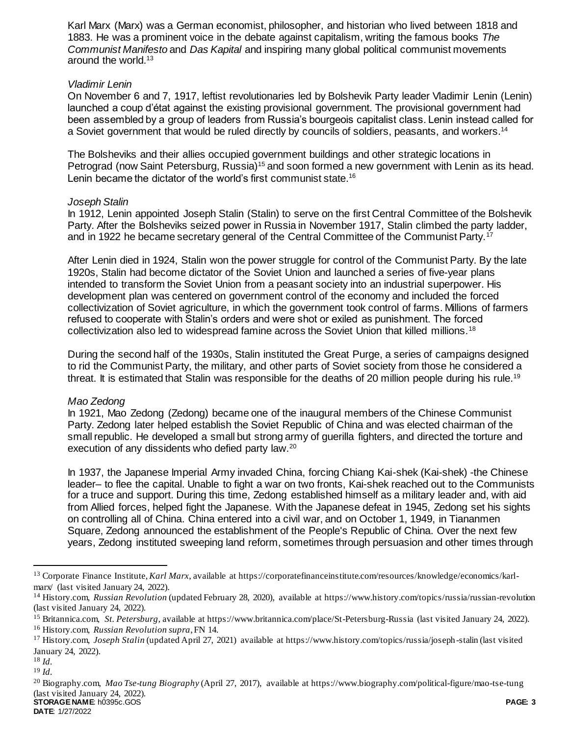Karl Marx (Marx) was a German economist, philosopher, and historian who lived between 1818 and 1883. He was a prominent voice in the debate against capitalism, writing the famous books *The Communist Manifesto* and *Das Kapital* and inspiring many global political communist movements around the world.<sup>13</sup>

#### *Vladimir Lenin*

On November 6 and 7, 1917, leftist revolutionaries led by Bolshevik Party leader Vladimir Lenin (Lenin) launched a coup d'état against the existing provisional government. The provisional government had been assembled by a group of leaders from Russia's bourgeois capitalist class. Lenin instead called for a Soviet government that would be ruled directly by councils of soldiers, peasants, and workers.<sup>14</sup>

<span id="page-2-0"></span>The Bolsheviks and their allies occupied government buildings and other strategic locations in Petrograd (now Saint Petersburg, Russia)<sup>15</sup> and soon formed a new government with Lenin as its head. Lenin became the dictator of the world's first communist state.<sup>16</sup>

## *Joseph Stalin*

In 1912, Lenin appointed Joseph Stalin (Stalin) to serve on the first Central Committee of the Bolshevik Party. After the Bolsheviks seized power in Russia in November 1917, Stalin climbed the party ladder, and in 1922 he became secretary general of the Central Committee of the Communist Party.<sup>17</sup>

After Lenin died in 1924, Stalin won the power struggle for control of the Communist Party. By the late 1920s, Stalin had become dictator of the Soviet Union and launched a series of five-year plans intended to transform the Soviet Union from a peasant society into an industrial superpower. His development plan was centered on government control of the economy and included the forced collectivization of Soviet agriculture, in which the government took control of farms. Millions of farmers refused to cooperate with Stalin's orders and were shot or exiled as punishment. The forced collectivization also led to widespread famine across the Soviet Union that killed millions.<sup>18</sup>

During the second half of the 1930s, Stalin instituted the Great Purge, a series of campaigns designed to rid the Communist Party, the military, and other parts of Soviet society from those he considered a threat. It is estimated that Stalin was responsible for the deaths of 20 million people during his rule.<sup>19</sup>

## *Mao Zedong*

In 1921, Mao Zedong (Zedong) became one of the inaugural members of the Chinese Communist Party. Zedong later helped establish the Soviet Republic of China and was elected chairman of the small republic. He developed a small but strong army of guerilla fighters, and directed the torture and execution of any dissidents who defied party law.<sup>20</sup>

In 1937, the Japanese Imperial Army invaded China, forcing Chiang Kai-shek (Kai-shek) -the Chinese leader– to flee the capital. Unable to fight a war on two fronts, Kai-shek reached out to the Communists for a truce and support. During this time, Zedong established himself as a military leader and, with aid from Allied forces, helped fight the Japanese. With the Japanese defeat in 1945, Zedong set his sights on controlling all of China. China entered into a civil war, and on October 1, 1949, in Tiananmen Square, Zedong announced the establishment of the People's Republic of China. Over the next few years, Zedong instituted sweeping land reform, sometimes through persuasion and other times through

l

<sup>13</sup> Corporate Finance Institute, *Karl Marx*, available at https://corporatefinanceinstitute.com/resources/knowledge/economics/karlmarx/ (last visited January 24, 2022).

<sup>14</sup> History.com, *Russian Revolution* (updated February 28, 2020), available at https://www.history.com/topics/russia/russian-revolution (last visited January 24, 2022).

<sup>15</sup> Britannica.com, *St. Petersburg,* available at https://www.britannica.com/place/St-Petersburg-Russia (last visited January 24, 2022).

<sup>16</sup> History.com, *Russian Revolution supra*, F[N 14.](#page-2-0)

<sup>17</sup> History.com, *Joseph Stalin* (updated April 27, 2021) available at https://www.history.com/topics/russia/joseph-stalin (last visited January 24, 2022).

<sup>18</sup> *Id.*

<sup>19</sup> *Id.* 

**STORAGE NAME**: h0395c.GOS **PAGE: 3** <sup>20</sup> Biography.com, *Mao Tse-tung Biography* (April 27, 2017), available at https://www.biography.com/political-figure/mao-tse-tung (last visited January 24, 2022).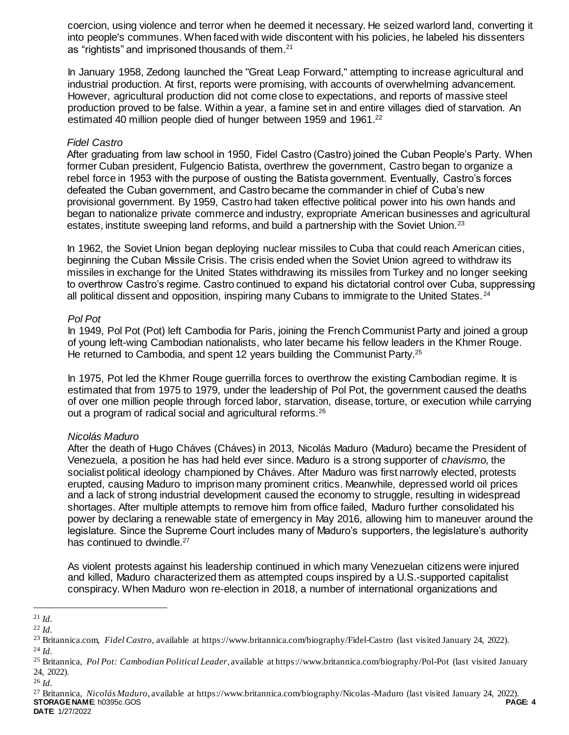coercion, using violence and terror when he deemed it necessary. He seized warlord land, converting it into people's communes. When faced with wide discontent with his policies, he labeled his dissenters as "rightists" and imprisoned thousands of them.<sup>21</sup>

In January 1958, Zedong launched the "Great Leap Forward," attempting to increase agricultural and industrial production. At first, reports were promising, with accounts of overwhelming advancement. However, agricultural production did not come close to expectations, and reports of massive steel production proved to be false. Within a year, a famine set in and entire villages died of starvation. An estimated 40 million people died of hunger between 1959 and 1961.<sup>22</sup>

#### *Fidel Castro*

After graduating from law school in 1950, Fidel Castro (Castro) joined the Cuban People's Party. When former Cuban president, Fulgencio Batista, overthrew the government, Castro began to organize a rebel force in 1953 with the purpose of ousting the Batista government. Eventually, Castro's forces defeated the Cuban government, and Castro became the commander in chief of Cuba's new provisional government. By 1959, Castro had taken effective political power into his own hands and began to nationalize private commerce and industry, expropriate American businesses and agricultural estates, institute sweeping land reforms, and build a partnership with the Soviet Union.<sup>23</sup>

In 1962, the Soviet Union began deploying nuclear missiles to Cuba that could reach American cities, beginning the Cuban Missile Crisis. The crisis ended when the Soviet Union agreed to withdraw its missiles in exchange for the United States withdrawing its missiles from Turkey and no longer seeking to overthrow Castro's regime. Castro continued to expand his dictatorial control over Cuba, suppressing all political dissent and opposition, inspiring many Cubans to immigrate to the United States.<sup>24</sup>

## *Pol Pot*

In 1949, Pol Pot (Pot) left Cambodia for Paris, joining the French Communist Party and joined a group of young left-wing Cambodian nationalists, who later became his fellow leaders in the Khmer Rouge. He returned to Cambodia, and spent 12 years building the Communist Party.<sup>25</sup>

In 1975, Pot led the Khmer Rouge guerrilla forces to overthrow the existing Cambodian regime. It is estimated that from 1975 to 1979, under the leadership of Pol Pot, the government caused the deaths of over one million people through forced labor, starvation, disease, torture, or execution while carrying out a program of radical social and agricultural reforms.<sup>26</sup>

## *Nicolás Maduro*

After the death of Hugo Cháves (Cháves) in 2013, Nicolás Maduro (Maduro) became the President of Venezuela, a position he has had held ever since. Maduro is a strong supporter of *chavismo,* the socialist political ideology championed by Cháves. After Maduro was first narrowly elected, protests erupted, causing Maduro to imprison many prominent critics. Meanwhile, depressed world oil prices and a lack of strong industrial development caused the economy to struggle, resulting in widespread shortages. After multiple attempts to remove him from office failed, Maduro further consolidated his power by declaring a renewable state of emergency in May 2016, allowing him to maneuver around the legislature. Since the Supreme Court includes many of Maduro's supporters, the legislature's authority has continued to dwindle.<sup>27</sup>

As violent protests against his leadership continued in which many Venezuelan citizens were injured and killed, Maduro characterized them as attempted coups inspired by a U.S.-supported capitalist conspiracy. When Maduro won re-election in 2018, a number of international organizations and

l

<sup>26</sup> *Id.*

<sup>21</sup> *Id.*

<sup>22</sup> *Id.*

<sup>23</sup> Britannica.com, *Fidel Castro,* available at https://www.britannica.com/biography/Fidel-Castro (last visited January 24, 2022). <sup>24</sup> *Id.*

<sup>25</sup> Britannica, *Pol Pot: Cambodian Political Leader*, available at https://www.britannica.com/biography/Pol-Pot (last visited January 24, 2022).

**STORAGE NAME**: h0395c.GOS **PAGE: 4** <sup>27</sup> Britannica, *Nicolás Maduro,* available at https://www.britannica.com/biography/Nicolas-Maduro (last visited January 24, 2022).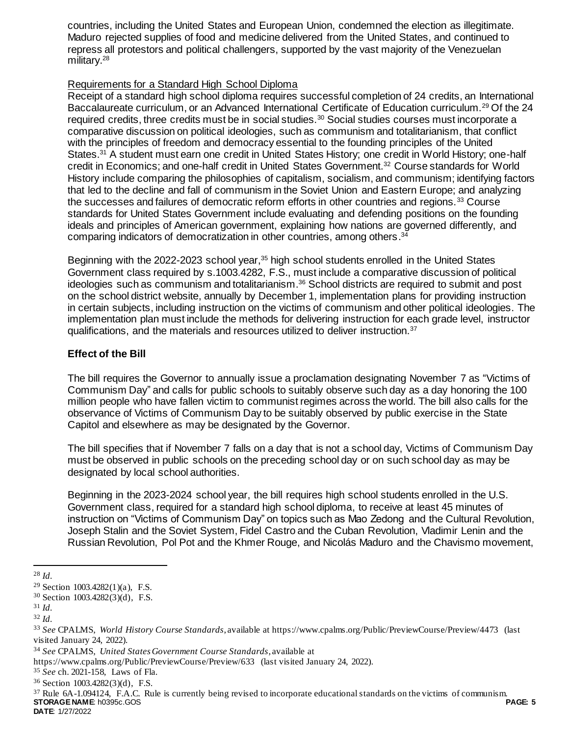countries, including the United States and European Union, condemned the election as illegitimate. Maduro rejected supplies of food and medicine delivered from the United States, and continued to repress all protestors and political challengers, supported by the vast majority of the Venezuelan military.<sup>28</sup>

## Requirements for a Standard High School Diploma

Receipt of a standard high school diploma requires successful completion of 24 credits, an International Baccalaureate curriculum, or an Advanced International Certificate of Education curriculum.<sup>29</sup> Of the 24 required credits, three credits must be in social studies.<sup>30</sup> Social studies courses must incorporate a comparative discussion on political ideologies, such as communism and totalitarianism, that conflict with the principles of freedom and democracy essential to the founding principles of the United States.<sup>31</sup> A student must earn one credit in United States History; one credit in World History; one-half credit in Economics; and one-half credit in United States Government.<sup>32</sup> Course standards for World History include comparing the philosophies of capitalism, socialism, and communism; identifying factors that led to the decline and fall of communism in the Soviet Union and Eastern Europe; and analyzing the successes and failures of democratic reform efforts in other countries and regions.<sup>33</sup> Course standards for United States Government include evaluating and defending positions on the founding ideals and principles of American government, explaining how nations are governed differently, and comparing indicators of democratization in other countries, among others. 34

Beginning with the 2022-2023 school year,<sup>35</sup> high school students enrolled in the United States Government class required by s.1003.4282, F.S., must include a comparative discussion of political ideologies such as communism and totalitarianism. <sup>36</sup> School districts are required to submit and post on the school district website, annually by December 1, implementation plans for providing instruction in certain subjects, including instruction on the victims of communism and other political ideologies. The implementation plan must include the methods for delivering instruction for each grade level, instructor qualifications, and the materials and resources utilized to deliver instruction.<sup>37</sup>

## **Effect of the Bill**

The bill requires the Governor to annually issue a proclamation designating November 7 as "Victims of Communism Day" and calls for public schools to suitably observe such day as a day honoring the 100 million people who have fallen victim to communist regimes across the world. The bill also calls for the observance of Victims of Communism Day to be suitably observed by public exercise in the State Capitol and elsewhere as may be designated by the Governor.

The bill specifies that if November 7 falls on a day that is not a school day, Victims of Communism Day must be observed in public schools on the preceding school day or on such school day as may be designated by local school authorities.

Beginning in the 2023-2024 school year, the bill requires high school students enrolled in the U.S. Government class, required for a standard high school diploma, to receive at least 45 minutes of instruction on "Victims of Communism Day" on topics such as Mao Zedong and the Cultural Revolution, Joseph Stalin and the Soviet System, Fidel Castro and the Cuban Revolution, Vladimir Lenin and the Russian Revolution, Pol Pot and the Khmer Rouge, and Nicolás Maduro and the Chavismo movement,

l

**STORAGE NAME**: h0395c.GOS **PAGE: 5** <sup>37</sup> Rule 6A-1.094124, F.A.C. Rule is currently being revised to incorporate educational standards on the victims of communism.

**DATE**: 1/27/2022

<sup>28</sup> *Id.*

<sup>29</sup> Section 1003.4282(1)(a), F.S.

<sup>30</sup> Section 1003.4282(3)(d), F.S.

<sup>31</sup> *Id.*

<sup>32</sup> *Id.*

<sup>33</sup> *See* CPALMS, *World History Course Standards*, available at https://www.cpalms.org/Public/PreviewCourse/Preview/4473 (last visited January 24, 2022).

<sup>34</sup> *See* CPALMS, *United States Government Course Standards*, available at

https://www.cpalms.org/Public/PreviewCourse/Preview/633 (last visited January 24, 2022).

<sup>35</sup> *See* ch. 2021-158, Laws of Fla.

<sup>36</sup> Section 1003.4282(3)(d), F.S.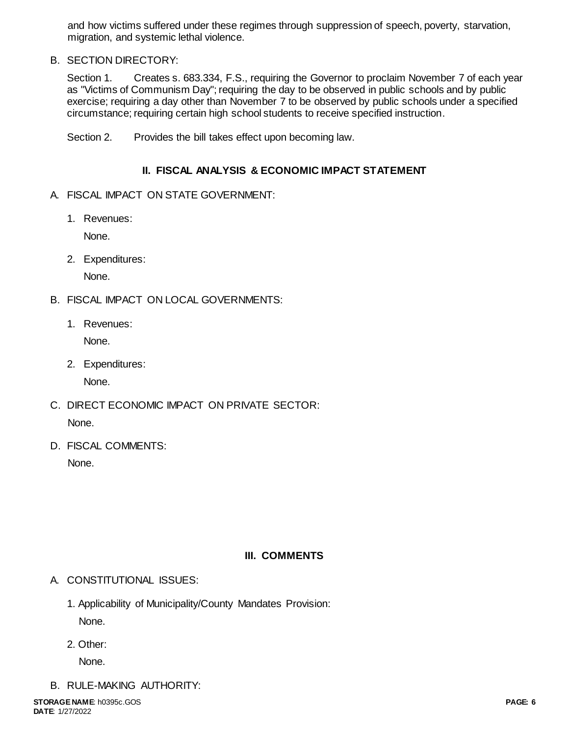and how victims suffered under these regimes through suppression of speech, poverty, starvation, migration, and systemic lethal violence.

## B. SECTION DIRECTORY:

Section 1. Creates s. 683.334, F.S., requiring the Governor to proclaim November 7 of each year as "Victims of Communism Day"; requiring the day to be observed in public schools and by public exercise; requiring a day other than November 7 to be observed by public schools under a specified circumstance; requiring certain high school students to receive specified instruction.

Section 2. Provides the bill takes effect upon becoming law.

## **II. FISCAL ANALYSIS & ECONOMIC IMPACT STATEMENT**

- A. FISCAL IMPACT ON STATE GOVERNMENT:
	- 1. Revenues:

None.

2. Expenditures:

None.

- B. FISCAL IMPACT ON LOCAL GOVERNMENTS:
	- 1. Revenues:

None.

2. Expenditures:

None.

- C. DIRECT ECONOMIC IMPACT ON PRIVATE SECTOR: None.
- D. FISCAL COMMENTS:

None.

## **III. COMMENTS**

- A. CONSTITUTIONAL ISSUES:
	- 1. Applicability of Municipality/County Mandates Provision: None.
	- 2. Other:

None.

B. RULE-MAKING AUTHORITY: